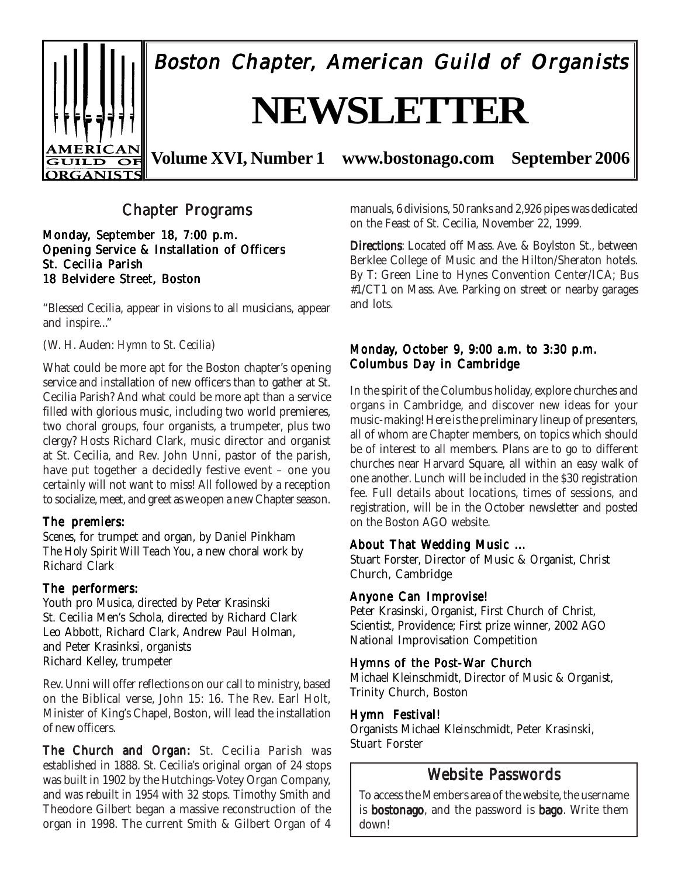

Boston Chapter, American Guild of Organists

# **NEWSLETTER**

**Volume XVI, Number 1 www.bostonago.com September 2006**

# **Chapter Programs**

Monday, September 18, 7:00 p.m. Opening Service & Installation of Officers St. Cecilia Parish 18 Belvidere Street, Boston

"Blessed Cecilia, appear in visions to all musicians, appear and inspire..."

#### (W. H. Auden: *Hymn to St. Cecilia*)

What could be more apt for the Boston chapter's opening service and installation of new officers than to gather at St. Cecilia Parish? And what could be more apt than a service filled with glorious music, including two world premieres, two choral groups, four organists, a trumpeter, plus two clergy? Hosts Richard Clark, music director and organist at St. Cecilia, and Rev. John Unni, pastor of the parish, have put together a decidedly festive event – one you certainly will not want to miss! All followed by a reception to socialize, meet, and greet as we open a new Chapter season.

#### The premiers:

*Scenes*, for trumpet and organ, by Daniel Pinkham *The Holy Spirit Will Teach You*, a new choral work by Richard Clark

#### The performers:

Youth pro Musica, directed by Peter Krasinski St. Cecilia Men's Schola, directed by Richard Clark Leo Abbott, Richard Clark, Andrew Paul Holman, and Peter Krasinksi, organists Richard Kelley, trumpeter

Rev. Unni will offer reflections on our call to ministry, based on the Biblical verse, John 15: 16. The Rev. Earl Holt, Minister of King's Chapel, Boston, will lead the installation of new officers.

The Church and Organ: St. Cecilia Parish was established in 1888. St. Cecilia's original organ of 24 stops was built in 1902 by the Hutchings-Votey Organ Company, and was rebuilt in 1954 with 32 stops. Timothy Smith and Theodore Gilbert began a massive reconstruction of the organ in 1998. The current Smith & Gilbert Organ of 4 manuals, 6 divisions, 50 ranks and 2,926 pipes was dedicated on the Feast of St. Cecilia, November 22, 1999.

Directions: Located off Mass. Ave. & Boylston St., between Berklee College of Music and the Hilton/Sheraton hotels. By T: Green Line to Hynes Convention Center/ICA; Bus #1/CT1 on Mass. Ave. Parking on street or nearby garages and lots.

## Monday, October 9, 9:00 a.m. to  $3:30$  p.m. Columbus Day in Cambridge

In the spirit of the Columbus holiday, explore churches and organs in Cambridge, and discover new ideas for your music-making! Here is the preliminary lineup of presenters, all of whom are Chapter members, on topics which should be of interest to all members. Plans are to go to different churches near Harvard Square, all within an easy walk of one another. Lunch will be included in the \$30 registration fee. Full details about locations, times of sessions, and registration, will be in the October newsletter and posted on the Boston AGO website.

#### About That Wedding Music ...

Stuart Forster, Director of Music & Organist, Christ Church, Cambridge

## Anyone Can Improvise!

Peter Krasinski, Organist, First Church of Christ, Scientist, Providence; First prize winner, 2002 AGO National Improvisation Competition

## Hymns of the Post-War Church

Michael Kleinschmidt, Director of Music & Organist, Trinity Church, Boston

## Hymn Festival!

Organists Michael Kleinschmidt, Peter Krasinski, Stuart Forster

# Website Passwords

To access the Members area of the website, the username is **bostonago**, and the password is **bago**. Write them down!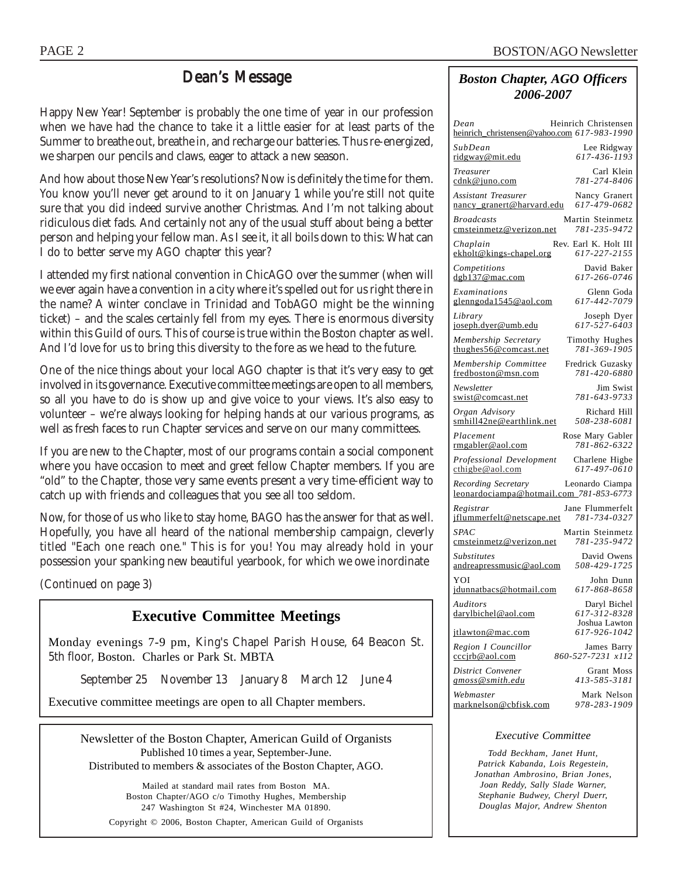# Dean's Message

Happy New Year! September is probably the one time of year in our profession when we have had the chance to take it a little easier for at least parts of the Summer to breathe out, breathe in, and recharge our batteries. Thus re-energized, we sharpen our pencils and claws, eager to attack a new season.

And how about those New Year's resolutions? Now is definitely the time for them. You know you'll never get around to it on January 1 while you're still not quite sure that you did indeed survive another Christmas. And I'm not talking about ridiculous diet fads. And certainly not any of the usual stuff about being a better person and helping your fellow man. As I see it, it all boils down to this: What can I do to better serve my AGO chapter this year?

I attended my first national convention in ChicAGO over the summer (when will we ever again have a convention in a city where it's spelled out for us right there in the name? A winter conclave in Trinidad and TobAGO might be the winning ticket) – and the scales certainly fell from my eyes. There is enormous diversity within this Guild of ours. This of course is true within the Boston chapter as well. And I'd love for us to bring this diversity to the fore as we head to the future.

One of the nice things about your local AGO chapter is that it's very easy to get involved in its governance. Executive committee meetings are open to all members, so all you have to do is show up and give voice to your views. It's also easy to volunteer – we're always looking for helping hands at our various programs, as well as fresh faces to run Chapter services and serve on our many committees.

If you are new to the Chapter, most of our programs contain a social component where you have occasion to meet and greet fellow Chapter members. If you are "old" to the Chapter, those very same events present a very time-efficient way to catch up with friends and colleagues that you see all too seldom.

Now, for those of us who like to stay home, BAGO has the answer for that as well. Hopefully, you have all heard of the national membership campaign, cleverly titled "Each one reach one." This is for you! You may already hold in your possession your spanking new beautiful yearbook, for which we owe inordinate

(Continued on page 3)

# **Executive Committee Meetings**

Monday evenings 7-9 pm, King's Chapel Parish House, 64 Beacon St. 5th floor, Boston. Charles or Park St. MBTA

September 25 November 13 January 8 March 12 June 4

Executive committee meetings are open to all Chapter members.

Newsletter of the Boston Chapter, American Guild of Organists Published 10 times a year, September-June. Distributed to members & associates of the Boston Chapter, AGO.

Mailed at standard mail rates from Boston MA. Boston Chapter/AGO c/o Timothy Hughes, Membership 247 Washington St #24, Winchester MA 01890. Copyright © 2006, Boston Chapter, American Guild of Organists

## *Boston Chapter, AGO Officers 2006-2007*

| Heinrich Christensen<br>Dean<br>heinrich_christensen@yahoo.com 617-983-1990              |
|------------------------------------------------------------------------------------------|
| SubDean<br>Lee Ridgway<br>617-436-1193<br>ridgway@mit.edu                                |
| Carl Klein<br>Treasurer<br>781-274-8406<br>cdnk@juno.com                                 |
| Assistant Treasurer<br>Nancy Granert<br>617-479-0682<br><u>nancy granert@harvard.edu</u> |
| <b>Broadcasts</b><br>Martin Steinmetz<br>781-235-9472<br>cmsteinmetz@verizon.net         |
| Rev. Earl K. Holt III<br>Chaplain<br>617-227-2155<br>ekholt@kings-chapel.org             |
| David Baker<br>Competitions<br>617-266-0746<br>$d$ gb137@mac.com                         |
| Examinations<br>Glenn Goda<br>glenngoda1545@aol.com<br>617-442-7079                      |
| Library<br>Joseph Dyer<br>joseph.dyer@umb.edu<br>617-527-6403                            |
| Membership Secretary<br><b>Timothy Hughes</b><br>781-369-1905<br>thughes56@comcast.net   |
| Membership Committee<br>Fredrick Guzasky<br>781-420-6880<br>fredboston@msn.com           |
| Jim Swist<br>Newsletter<br>781-643-9733<br>swist@comcast.net                             |
| Richard Hill<br>Organ Advisory<br>smhill42ne@earthlink.net<br>508-238-6081               |
| Rose Mary Gabler<br>Placement<br>781-862-6322<br>rmgabler@aol.com                        |
| Professional Development<br>Charlene Higbe<br>617-497-0610<br>cthigbe@aol.com            |
| Recording Secretary<br>Leonardo Ciampa<br>leonardociampa@hotmail.com_781-853-6773        |
| Registrar<br>Jane Flummerfelt<br>781-734-0327<br>jflummerfelt@netscape.net               |
| SPA C<br>Martin Steinmetz<br>781-235-9472<br>cmsteinmetz@verizon.net                     |
| <b>Substitutes</b><br>David Owens<br>508-429-1725<br>andreapressmusic@aol.com            |
| YOI<br>John Dunn<br>617-868-8658<br>jdunnatbacs@hotmail.com                              |
| Auditors<br>Daryl Bichel<br><u>darylbichel@aol.com</u><br>617-312-8328                   |
| Joshua Lawton<br>617-926-1042<br>jtlawton@mac.com                                        |
| Region I Councillor<br>James Barry<br>cccjrb@aol.com<br>860-527-7231 x112                |
| District Convener<br><b>Grant Moss</b><br>413-585-3181<br><u>gmoss@smith.edu</u>         |
| Mark Nelson<br>Webmaster<br>marknelson@chfisk.com<br>978-283-1909                        |

*Executive Committee*

*Todd Beckham, Janet Hunt, Patrick Kabanda, Lois Regestein, Jonathan Ambrosino, Brian Jones, Joan Reddy, Sally Slade Warner, Stephanie Budwey, Cheryl Duerr, Douglas Major, Andrew Shenton*

marknelson@cbfisk.com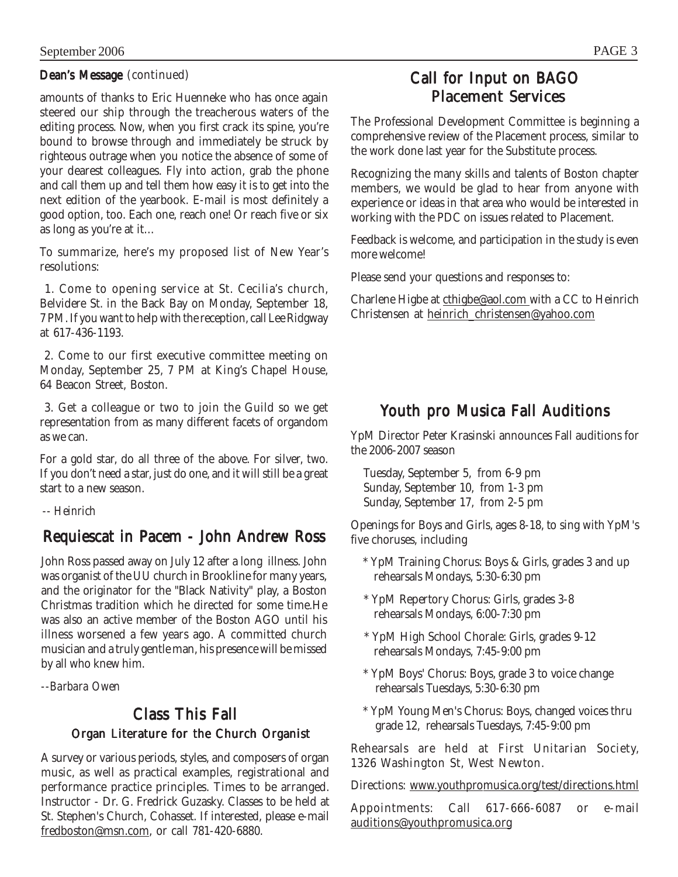## Dean's Message (continued)

amounts of thanks to Eric Huenneke who has once again steered our ship through the treacherous waters of the editing process. Now, when you first crack its spine, you're bound to browse through and immediately be struck by righteous outrage when you notice the absence of some of your dearest colleagues. Fly into action, grab the phone and call them up and tell them how easy it is to get into the next edition of the yearbook. E-mail is most definitely a good option, too. Each one, reach one! Or reach five or six as long as you're at it…

To summarize, here's my proposed list of New Year's resolutions:

 1. Come to opening service at St. Cecilia's church, Belvidere St. in the Back Bay on Monday, September 18, 7 PM. If you want to help with the reception, call Lee Ridgway at 617-436-1193.

 2. Come to our first executive committee meeting on Monday, September 25, 7 PM at King's Chapel House, 64 Beacon Street, Boston.

 3. Get a colleague or two to join the Guild so we get representation from as many different facets of organdom as we can.

For a gold star, do all three of the above. For silver, two. If you don't need a star, just do one, and it will still be a great start to a new season.

 *-- Heinrich*

# Requiescat in Pacem - John Andrew Ross

John Ross passed away on July 12 after a long illness. John was organist of the UU church in Brookline for many years, and the originator for the "Black Nativity" play, a Boston Christmas tradition which he directed for some time.He was also an active member of the Boston AGO until his illness worsened a few years ago. A committed church musician and a truly gentle man, his presence will be missed by all who knew him.

*--Barbara Owen*

# Class This Fall Organ Literature for the Church Organist

A survey or various periods, styles, and composers of organ music, as well as practical examples, registrational and performance practice principles. Times to be arranged. Instructor - Dr. G. Fredrick Guzasky. Classes to be held at St. Stephen's Church, Cohasset. If interested, please e-mail fredboston@msn.com, or call 781-420-6880.

# Call for Input on BAGO **Placement Services**

The Professional Development Committee is beginning a comprehensive review of the Placement process, similar to the work done last year for the Substitute process.

Recognizing the many skills and talents of Boston chapter members, we would be glad to hear from anyone with experience or ideas in that area who would be interested in working with the PDC on issues related to Placement.

Feedback is welcome, and participation in the study is even more welcome!

Please send your questions and responses to:

Charlene Higbe at cthigbe@aol.com with a CC to Heinrich Christensen at heinrich\_christensen@yahoo.com

# Youth pro Musica Fall Auditions

YpM Director Peter Krasinski announces Fall auditions for the 2006-2007 season

 Tuesday, September 5, from 6-9 pm Sunday, September 10, from 1-3 pm Sunday, September 17, from 2-5 pm

Openings for Boys and Girls, ages 8-18, to sing with YpM's five choruses, including

- \* YpM Training Chorus: Boys & Girls, grades 3 and up rehearsals Mondays, 5:30-6:30 pm
- \* YpM Repertory Chorus: Girls, grades 3-8 rehearsals Mondays, 6:00-7:30 pm
- \* YpM High School Chorale: Girls, grades 9-12 rehearsals Mondays, 7:45-9:00 pm
- \* YpM Boys' Chorus: Boys, grade 3 to voice change rehearsals Tuesdays, 5:30-6:30 pm
- \* YpM Young Men's Chorus: Boys, changed voices thru grade 12, rehearsals Tuesdays, 7:45-9:00 pm

Rehearsals are held at First Unitarian Society, 1326 Washington St, West Newton.

Directions: www.youthpromusica.org/test/directions.html

Appointments: Call 617-666-6087 or e-mail auditions@youthpromusica.org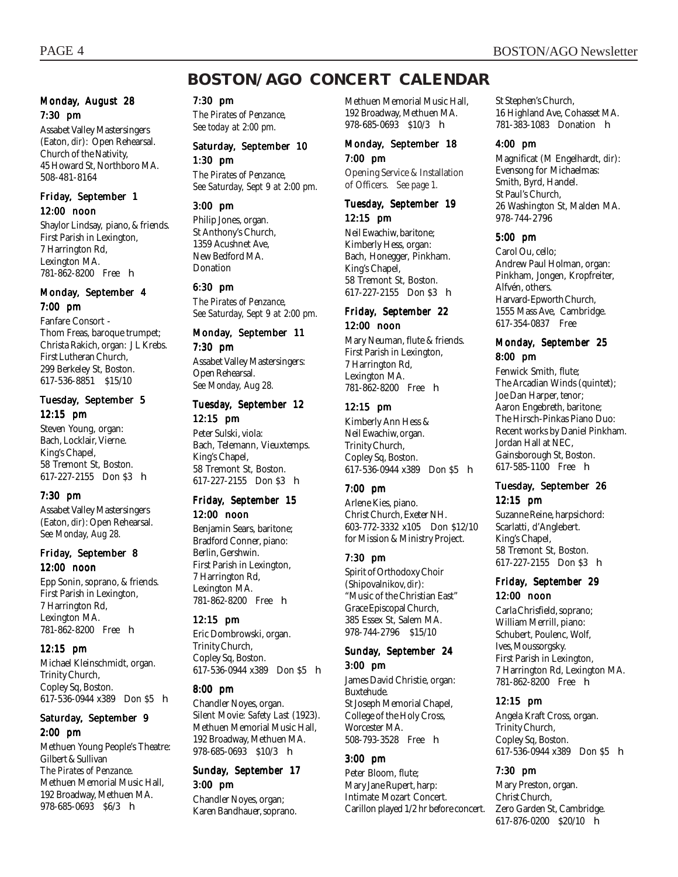# **BOSTON/AGO CONCERT CALENDAR**

#### Monday, August 28 7:30 pm

Assabet Valley Mastersingers (Eaton, *dir*): Open Rehearsal. Church of the Nativity, 45 Howard St, Northboro MA. 508-481-8164

#### Friday, September 1 12:00 noon

Shaylor Lindsay, piano, & friends. First Parish in Lexington, 7 Harrington Rd, Lexington MA. 781-862-8200 Free **h** 

#### Monday, September 4 7:00 pm

Fanfare Consort - Thom Freas, baroque trumpet; Christa Rakich, organ: J L Krebs. First Lutheran Church, 299 Berkeley St, Boston. 617-536-8851 \$15/10

#### Tuesday, September 5 12:15 pm

Steven Young, organ: Bach, Locklair, Vierne. King's Chapel, 58 Tremont St, Boston. 617-227-2155 Don \$3 h

#### 7:30 pm

Assabet Valley Mastersingers (Eaton, *dir*): Open Rehearsal. *See Monday, Aug 28.*

#### Friday, September 8 12:00 noon

Epp Sonin, soprano, & friends. First Parish in Lexington, 7 Harrington Rd, Lexington MA. 781-862-8200 Free h

#### 12:15 pm

Michael Kleinschmidt, organ. Trinity Church, Copley Sq, Boston. 617-536-0944 x389 Don \$5 h

#### Saturday, September 9 2:00 pm

Methuen Young People's Theatre: Gilbert & Sullivan *The Pirates of Penzance.* Methuen Memorial Music Hall, 192 Broadway, Methuen MA. 978-685-0693 \$6/3 **h** 

#### 7:30 pm

*The Pirates of Penzance, See today at 2:00 pm.*

#### Saturday, September 10 1:30 pm

*The Pirates of Penzance, See Saturday, Sept 9 at 2:00 pm.*

#### 3:00 pm

Philip Jones, organ. St Anthony's Church, 1359 Acushnet Ave, New Bedford MA. Donation

#### 6:30 pm

*The Pirates of Penzance, See Saturday, Sept 9 at 2:00 pm.*

## Monday, September 11 7:30 pm

Assabet Valley Mastersingers: Open Rehearsal. *See Monday, Aug 28.*

# Tuesday, September 12

12:15 pm Peter Sulski, viola: Bach, Telemann, Vieuxtemps. King's Chapel, 58 Tremont St, Boston. 617-227-2155 Don \$3 h

#### Friday, September 15 12:00 noon

Benjamin Sears, baritone; Bradford Conner, piano: Berlin, Gershwin. First Parish in Lexington, 7 Harrington Rd, Lexington MA. 781-862-8200 Free h

#### 12:15 pm

Eric Dombrowski, organ. Trinity Church, Copley Sq, Boston. 617-536-0944 x389 Don \$5 **h** 

#### 8:00 pm

Chandler Noyes, organ. Silent Movie: *Safety Last* (1923). Methuen Memorial Music Hall, 192 Broadway, Methuen MA. 978-685-0693 \$10/3 **h** 

#### Sunday, September 17 3:00 pm

Chandler Noyes, organ; Karen Bandhauer, soprano. Methuen Memorial Music Hall, 192 Broadway, Methuen MA. 978-685-0693 \$10/3 **h** 

#### Monday, September 18 7:00 pm

Opening Service & Installation of Officers. *See page 1.*

#### Tuesday, September 19 12:15 pm

Neil Ewachiw, baritone; Kimberly Hess, organ: Bach, Honegger, Pinkham. King's Chapel, 58 Tremont St, Boston. 617-227-2155 Don \$3 h

#### Friday, September 22 12:00 noon

Mary Neuman, flute & friends. First Parish in Lexington, 7 Harrington Rd, Lexington MA. 781-862-8200 Free h

#### 12:15 pm

Kimberly Ann Hess & Neil Ewachiw, organ. Trinity Church, Copley Sq, Boston. 617-536-0944 x389 Don \$5 h

#### 7:00 pm

Arlene Kies, piano. Christ Church, Exeter NH. 603-772-3332 x105 Don \$12/10 for Mission & Ministry Project.

#### 7:30 pm

Spirit of Orthodoxy Choir (Shipovalnikov, *di*r): "Music of the Christian East" Grace Episcopal Church, 385 Essex St, Salem MA. 978-744-2796 \$15/10

# Sunday, September 24

3:00 pm James David Christie, organ: Buxtehude. St Joseph Memorial Chapel, College of the Holy Cross, Worcester MA. 508-793-3528 Free **h** 

#### 3:00 pm

Peter Bloom, flute; Mary Jane Rupert, harp: Intimate Mozart Concert. Carillon played 1/2 hr before concert. St Stephen's Church, 16 Highland Ave, Cohasset MA. 781-383-1083 Donation h

#### 4:00 pm

Magnificat (M Engelhardt, *dir*): Evensong for Michaelmas: Smith, Byrd, Handel. St Paul's Church, 26 Washington St, Malden MA. 978-744-2796

#### 5:00 pm

Carol Ou, cello; Andrew Paul Holman, organ: Pinkham, Jongen, Kropfreiter, Alfvén, others. Harvard-Epworth Church, 1555 Mass Ave, Cambridge. 617-354-0837 Free

#### Monday, September 25 8:00 pm

Fenwick Smith, flute; The Arcadian Winds (quintet); Joe Dan Harper, tenor; Aaron Engebreth, baritone; The Hirsch-Pinkas Piano Duo: Recent works by Daniel Pinkham. Jordan Hall at NEC, Gainsborough St, Boston. 617-585-1100 Free h

#### Tuesday, September 26 12:15 pm

Suzanne Reine, harpsichord: Scarlatti, d'Anglebert. King's Chapel, 58 Tremont St, Boston. 617-227-2155 Don \$3 h

#### Friday, September 29 12:00 noon

Carla Chrisfield, soprano; William Merrill, piano: Schubert, Poulenc, Wolf, Ives, Moussorgsky. First Parish in Lexington, 7 Harrington Rd, Lexington MA. 781-862-8200 Free h

#### 12:15 pm

Angela Kraft Cross, organ. Trinity Church, Copley Sq, Boston. 617-536-0944 x389 Don \$5 h

#### 7:30 pm

Mary Preston, organ. Christ Church, Zero Garden St, Cambridge. 617-876-0200 \$20/10 h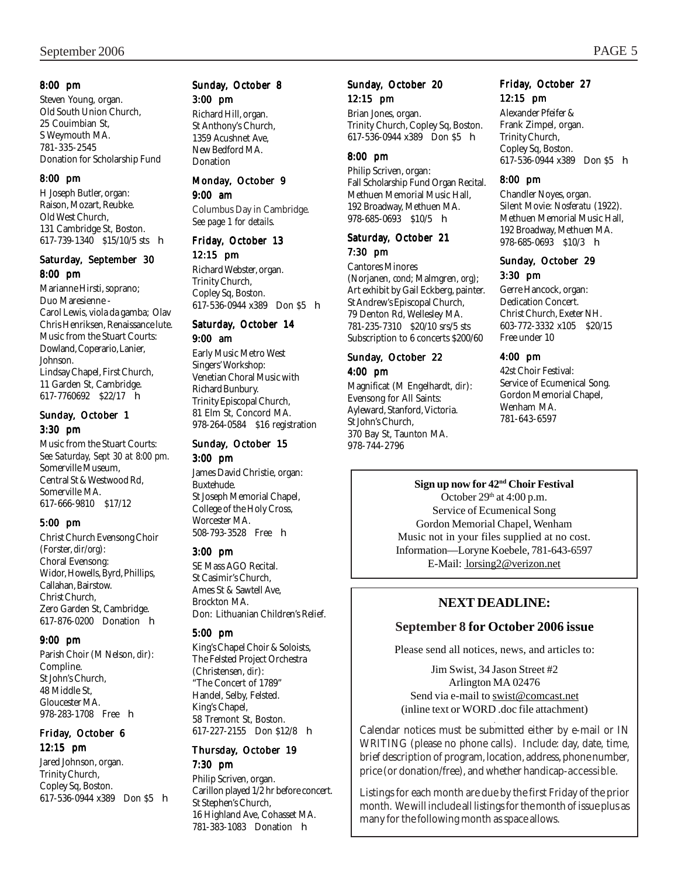#### 8:00 pm

Steven Young, organ. Old South Union Church, 25 Couimbian St, S Weymouth MA. 781-335-2545 Donation for Scholarship Fund

#### 8:00 pm

H Joseph Butler, organ: Raison, Mozart, Reubke. Old West Church, 131 Cambridge St, Boston. 617-739-1340 \$15/10/5 sts h

#### Saturday, September 30 8:00 pm

Marianne Hirsti, soprano; Duo Maresienne - Carol Lewis, viola da gamba; Olav Chris Henriksen, Renaissance lute. Music from the Stuart Courts: Dowland, Coperario, Lanier, Johnson. Lindsay Chapel, First Church, 11 Garden St, Cambridge. 617-7760692 \$22/17 h

#### Sunday, October 1 3:30 pm

Music from the Stuart Courts: *See Saturday, Sept 30 at 8:00 pm.* Somerville Museum, Central St & Westwood Rd, Somerville MA. 617-666-9810 \$17/12

#### 5:00 pm

Christ Church Evensong Choir (Forster, *dir/org*): Choral Evensong: Widor, Howells, Byrd, Phillips, Callahan, Bairstow. Christ Church, Zero Garden St, Cambridge. 617-876-0200 Donation h

#### 9:00 pm

Parish Choir (M Nelson, *dir*): Compline. St John's Church, 48 Middle St, Gloucester MA. 978-283-1708 Free **h** 

#### Friday, October 6 12:15 pm

Jared Johnson, organ. Trinity Church, Copley Sq, Boston. 617-536-0944 x389 Don \$5 h

## Sunday, October 8 3:00 pm

Richard Hill, organ. St Anthony's Church, 1359 Acushnet Ave, New Bedford MA. **Donation** 

#### Monday, October 9

#### 9:00 am

Columbus Day in Cambridge. *See page 1 for details.*

## Friday, October 13

#### 12:15 pm

Richard Webster, organ. Trinity Church, Copley Sq, Boston. 617-536-0944 x389 Don \$5 h

#### Saturday, October 14 9:00 am

Early Music Metro West Singers' Workshop: Venetian Choral Music with Richard Bunbury. Trinity Episcopal Church, 81 Elm St, Concord MA. 978-264-0584 \$16 registration

#### Sunday, October 15 3:00 pm

James David Christie, organ: Buxtehude. St Joseph Memorial Chapel, College of the Holy Cross, Worcester MA. 508-793-3528 Free h

#### 3:00 pm

SE Mass AGO Recital. St Casimir's Church, Ames St & Sawtell Ave, Brockton MA. Don: Lithuanian Children's Relief.

#### 5:00 pm

King's Chapel Choir & Soloists, The Felsted Project Orchestra (Christensen, *dir*): "The Concert of 1789" Handel, Selby, Felsted. King's Chapel, 58 Tremont St, Boston. 617-227-2155 Don \$12/8 h

#### Thursday, October 19 7:30 pm

Philip Scriven, organ. Carillon played 1/2 hr before concert. St Stephen's Church, 16 Highland Ave, Cohasset MA. 781-383-1083 Donation h

#### Sunday, October 20 12:15 pm

Brian Jones, organ. Trinity Church, Copley Sq, Boston. 617-536-0944 x389 Don \$5 h

#### 8:00 pm

Philip Scriven, organ: Fall Scholarship Fund Organ Recital. Methuen Memorial Music Hall, 192 Broadway, Methuen MA. 978-685-0693 \$10/5 h

#### Saturday, October 21 7:30 pm

Cantores Minores (Norjanen, *cond*; Malmgren, *org*); Art exhibit by Gail Eckberg, painter. St Andrew's Episcopal Church, 79 Denton Rd, Wellesley MA. 781-235-7310 \$20/10 srs/5 sts Subscription to 6 concerts \$200/60

#### Sunday, October 22 4:00 pm

Magnificat (M Engelhardt, *dir*): Evensong for All Saints: Ayleward, Stanford, Victoria. St John's Church, 370 Bay St, Taunton MA. 978-744-2796

#### Friday, October 27 12:15 pm

Alexander Pfeifer & Frank Zimpel, organ. Trinity Church, Copley Sq, Boston. 617-536-0944 x389 Don \$5 h

#### 8:00 pm

Chandler Noyes, organ. Silent Movie: *Nosferatu* (1922). Methuen Memorial Music Hall, 192 Broadway, Methuen MA. 978-685-0693 \$10/3 **h** 

#### Sunday, October 29 3:30 pm

Gerre Hancock, organ: Dedication Concert. Christ Church, Exeter NH. 603-772-3332 x105 \$20/15 Free under 10

#### 4:00 pm

42st Choir Festival: Service of Ecumenical Song. Gordon Memorial Chapel, Wenham MA. 781-643-6597

#### **Sign up now for 42nd Choir Festival**

October  $29<sup>th</sup>$  at 4:00 p.m. Service of Ecumenical Song Gordon Memorial Chapel, Wenham Music not in your files supplied at no cost. Information—Loryne Koebele, 781-643-6597 E-Mail: lorsing2@verizon.net

# **NEXT DEADLINE:**

## **September 8 for October 2006 issue**

Please send all notices, news, and articles to:

Jim Swist, 34 Jason Street #2 Arlington MA 02476 Send via e-mail to swist@comcast.net (inline text or WORD .doc file attachment)

. Calendar notices must be submitted either by e-mail or IN WRITING (please no phone calls). Include: day, date, time, brief description of program, location, address, phone number, price (or donation/free), and whether handicap-accessible.

Listings for each month are due by the first Friday of the prior month. We will include all listings for the month of issue plus as many for the following month as space allows.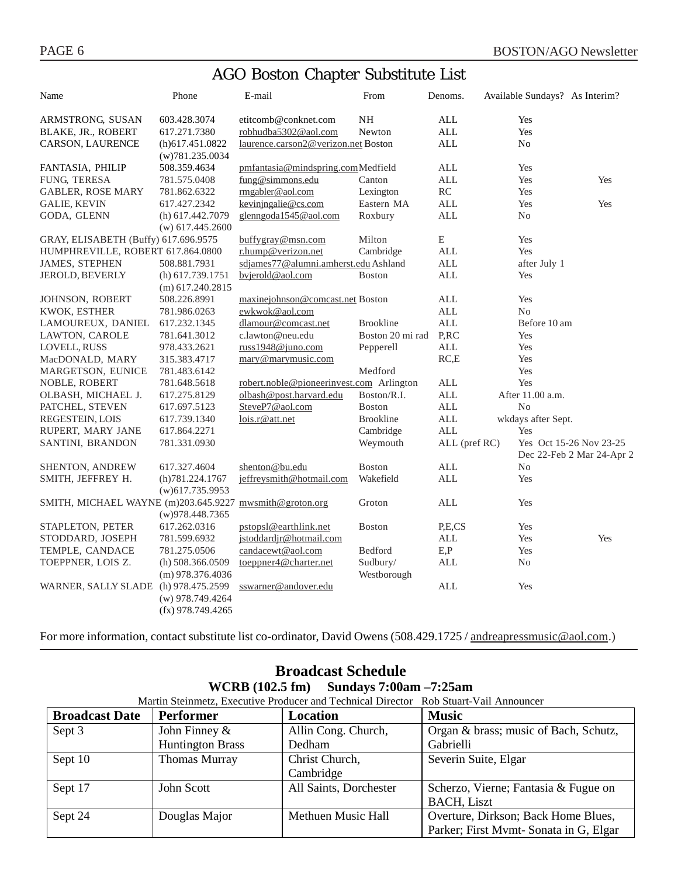# AGO Boston Chapter Substitute List

| Name                                                    | Phone                                     | E-mail                                   | From                    | Denoms.       | Available Sundays? As Interim? |                                                      |
|---------------------------------------------------------|-------------------------------------------|------------------------------------------|-------------------------|---------------|--------------------------------|------------------------------------------------------|
| ARMSTRONG, SUSAN                                        | 603.428.3074                              | etitcomb@conknet.com                     | NH                      | <b>ALL</b>    | Yes                            |                                                      |
| BLAKE, JR., ROBERT                                      | 617.271.7380                              | robhudba5302@aol.com                     | Newton                  | <b>ALL</b>    | Yes                            |                                                      |
| CARSON, LAURENCE                                        | $(h)$ 617.451.0822<br>(w)781.235.0034     | laurence.carson2@verizon.net Boston      |                         | <b>ALL</b>    | No                             |                                                      |
| FANTASIA, PHILIP                                        | 508.359.4634                              | pmfantasia@mindspring.comMedfield        |                         | ALL           | Yes                            |                                                      |
| <b>FUNG, TERESA</b>                                     | 781.575.0408                              | fung@simmons.edu                         | Canton                  | <b>ALL</b>    | Yes                            | Yes                                                  |
| <b>GABLER, ROSE MARY</b>                                | 781.862.6322                              | rmgabler@aol.com                         | Lexington               | RC            | Yes                            |                                                      |
| <b>GALIE, KEVIN</b>                                     | 617.427.2342                              | kevinjngalie@cs.com                      | Eastern MA              | <b>ALL</b>    | Yes                            | Yes                                                  |
| GODA, GLENN                                             | (h) 617.442.7079<br>$(w)$ 617.445.2600    | glenngoda1545@aol.com                    | Roxbury                 | <b>ALL</b>    | No                             |                                                      |
| GRAY, ELISABETH (Buffy) 617.696.9575                    |                                           | buffygray@msn.com                        | Milton                  | E             | Yes                            |                                                      |
| HUMPHREVILLE, ROBERT 617.864.0800                       |                                           | r.hump@verizon.net                       | Cambridge               | <b>ALL</b>    | Yes                            |                                                      |
| <b>JAMES, STEPHEN</b>                                   | 508.881.7931                              | sdjames77@alumni.amherst.edu Ashland     |                         | <b>ALL</b>    | after July 1                   |                                                      |
| JEROLD, BEVERLY                                         | $(h)$ 617.739.1751<br>$(m)$ 617.240.2815  | bvjerold@aol.com                         | <b>Boston</b>           | <b>ALL</b>    | Yes                            |                                                      |
| JOHNSON, ROBERT                                         | 508.226.8991                              | maxinejohnson@comcast.net Boston         |                         | ALL           | Yes                            |                                                      |
| KWOK, ESTHER                                            | 781.986.0263                              | ewkwok@aol.com                           |                         | <b>ALL</b>    | N <sub>o</sub>                 |                                                      |
| LAMOUREUX, DANIEL                                       | 617.232.1345                              | dlamour@comcast.net                      | <b>Brookline</b>        | <b>ALL</b>    | Before 10 am                   |                                                      |
| LAWTON, CAROLE                                          | 781.641.3012                              | c.lawton@neu.edu                         | Boston 20 mi rad        | P,RC          | Yes                            |                                                      |
| LOVELL, RUSS                                            | 978.433.2621                              | russ1948@juno.com                        | Pepperell               | <b>ALL</b>    | Yes                            |                                                      |
| MacDONALD, MARY                                         | 315.383.4717                              | mary@marymusic.com                       |                         | RC,E          | Yes                            |                                                      |
| MARGETSON, EUNICE                                       | 781.483.6142                              |                                          | Medford                 |               | Yes                            |                                                      |
| NOBLE, ROBERT                                           | 781.648.5618                              | robert.noble@pioneerinvest.com Arlington |                         | <b>ALL</b>    | Yes                            |                                                      |
| OLBASH, MICHAEL J.                                      | 617.275.8129                              | olbash@post.harvard.edu                  | Boston/R.I.             | <b>ALL</b>    | After 11.00 a.m.               |                                                      |
| PATCHEL, STEVEN                                         | 617.697.5123                              | SteveP7@aol.com                          | <b>Boston</b>           | <b>ALL</b>    | N <sub>0</sub>                 |                                                      |
| REGESTEIN, LOIS                                         | 617.739.1340                              | lois.r@att.net                           | <b>Brookline</b>        | <b>ALL</b>    | wkdays after Sept.             |                                                      |
| RUPERT, MARY JANE                                       | 617.864.2271                              |                                          | Cambridge               | <b>ALL</b>    | Yes                            |                                                      |
| SANTINI, BRANDON                                        | 781.331.0930                              |                                          | Weymouth                | ALL (pref RC) |                                | Yes Oct 15-26 Nov 23-25<br>Dec 22-Feb 2 Mar 24-Apr 2 |
| SHENTON, ANDREW                                         | 617.327.4604                              | shenton@bu.edu                           | <b>Boston</b>           | <b>ALL</b>    | No                             |                                                      |
| SMITH, JEFFREY H.                                       | (h)781.224.1767<br>$(w)$ 617.735.9953     | jeffreysmith@hotmail.com                 | Wakefield               | <b>ALL</b>    | Yes                            |                                                      |
| SMITH, MICHAEL WAYNE (m)203.645.9227 mwsmith@groton.org | (w)978.448.7365                           |                                          | Groton                  | <b>ALL</b>    | Yes                            |                                                      |
| STAPLETON, PETER                                        | 617.262.0316                              | pstopsl@earthlink.net                    | Boston                  | P,E,CS        | Yes                            |                                                      |
| STODDARD, JOSEPH                                        | 781.599.6932                              | jstoddardjr@hotmail.com                  |                         | ALL           | Yes                            | Yes                                                  |
| TEMPLE, CANDACE                                         | 781.275.0506                              | candacewt@aol.com                        | Bedford                 | E, P          | Yes                            |                                                      |
| TOEPPNER, LOIS Z.                                       | (h) $508.366.0509$<br>$(m)$ 978.376.4036  | toeppner4@charter.net                    | Sudbury/<br>Westborough | <b>ALL</b>    | No                             |                                                      |
| WARNER, SALLY SLADE (h) 978.475.2599                    | $(w)$ 978.749.4264<br>$(fx)$ 978.749.4265 | sswarner@andover.edu                     |                         | <b>ALL</b>    | Yes                            |                                                      |

For more information, contact substitute list co-ordinator, David Owens (508.429.1725 / andreapressmusic@aol.com.)

| пличени пенсине                                                                       |                         |                        |                                        |  |  |  |
|---------------------------------------------------------------------------------------|-------------------------|------------------------|----------------------------------------|--|--|--|
| WCRB $(102.5 \text{ fm})$ Sundays 7:00am $-7:25 \text{ am}$                           |                         |                        |                                        |  |  |  |
| Martin Steinmetz, Executive Producer and Technical Director Rob Stuart-Vail Announcer |                         |                        |                                        |  |  |  |
| <b>Broadcast Date</b>                                                                 | Performer               | Location               | <b>Music</b>                           |  |  |  |
| Sept 3                                                                                | John Finney $\&$        | Allin Cong. Church,    | Organ & brass; music of Bach, Schutz,  |  |  |  |
|                                                                                       | <b>Huntington Brass</b> | Dedham                 | Gabrielli                              |  |  |  |
| Sept 10                                                                               | Thomas Murray           | Christ Church,         | Severin Suite, Elgar                   |  |  |  |
|                                                                                       |                         | Cambridge              |                                        |  |  |  |
| Sept 17                                                                               | John Scott              | All Saints, Dorchester | Scherzo, Vierne; Fantasia & Fugue on   |  |  |  |
|                                                                                       |                         |                        | <b>BACH, Liszt</b>                     |  |  |  |
| Sept 24                                                                               | Douglas Major           | Methuen Music Hall     | Overture, Dirkson; Back Home Blues,    |  |  |  |
|                                                                                       |                         |                        | Parker; First Mymt- Sonata in G, Elgar |  |  |  |

# **Broadcast Schedule**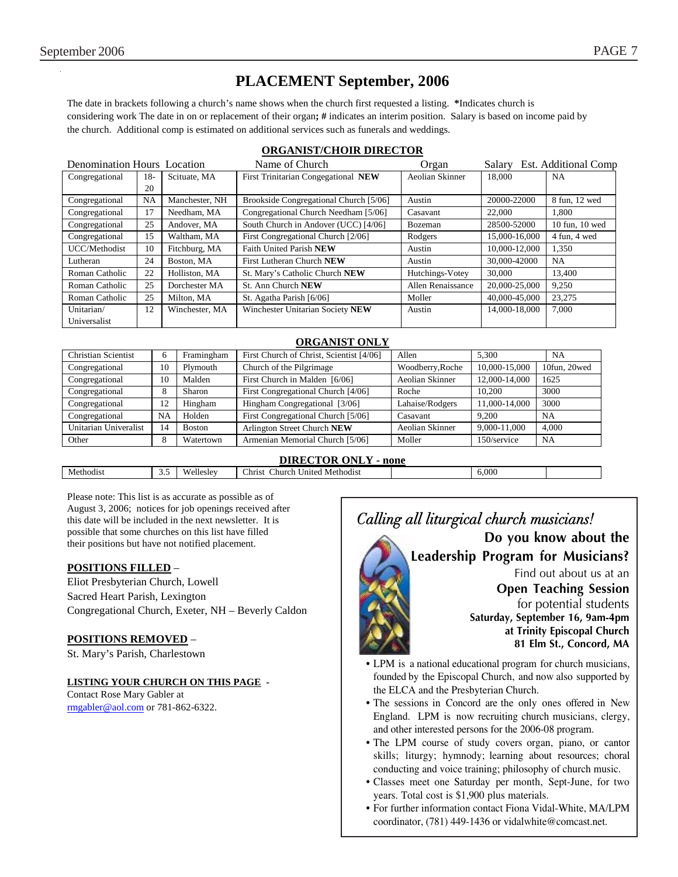# **PLACEMENT September, 2006**

The date in brackets following a church's name shows when the church first requested a listing. **\***Indicates church is considering work The date in on or replacement of their organ**; #** indicates an interim position. Salary is based on income paid by the church. Additional comp is estimated on additional services such as funerals and weddings.

#### **ORGANIST/CHOIR DIRECTOR**

| <b>Denomination Hours</b> Location |     |                | Name of Church<br>Organ                |                   | Est. Additional Comp<br>Salary |                |
|------------------------------------|-----|----------------|----------------------------------------|-------------------|--------------------------------|----------------|
| Congregational                     | 18- | Scituate, MA   | First Trinitarian Congegational NEW    | Aeolian Skinner   | 18,000                         | NA             |
|                                    | 20  |                |                                        |                   |                                |                |
| Congregational                     | NA  | Manchester, NH | Brookside Congregational Church [5/06] | Austin            | 20000-22000                    | 8 fun, 12 wed  |
| Congregational                     | 17  | Needham, MA    | Congregational Church Needham [5/06]   | Casavant          | 22,000                         | 1.800          |
| Congregational                     | 25  | Andover, MA    | South Church in Andover (UCC) [4/06]   | Bozeman           | 28500-52000                    | 10 fun. 10 wed |
| Congregational                     | 15  | Waltham, MA    | First Congregational Church [2/06]     | Rodgers           | 15,000-16,000                  | 4 fun, 4 wed   |
| UCC/Methodist                      | 10  | Fitchburg, MA  | Faith United Parish NEW                | Austin            | 10,000-12,000                  | 1,350          |
| Lutheran                           | 24  | Boston, MA     | First Lutheran Church NEW              | Austin            | 30,000-42000                   | <b>NA</b>      |
| Roman Catholic                     | 22  | Holliston, MA  | St. Mary's Catholic Church NEW         | Hutchings-Votey   | 30,000                         | 13.400         |
| Roman Catholic                     | 25  | Dorchester MA  | St. Ann Church NEW                     | Allen Renaissance | 20,000-25,000                  | 9.250          |
| Roman Catholic                     | 25  | Milton, MA     | St. Agatha Parish [6/06]               | Moller            | 40,000-45,000                  | 23,275         |
| Unitarian/                         | 12  | Winchester, MA | Winchester Unitarian Society NEW       | Austin            | 14,000-18,000                  | 7.000          |
| Universalist                       |     |                |                                        |                   |                                |                |

#### **ORGANIST ONLY**

| <b>Christian Scientist</b> | 6  | Framingham    | First Church of Christ, Scientist [4/06] | Allen            | 5.300         | <b>NA</b>    |
|----------------------------|----|---------------|------------------------------------------|------------------|---------------|--------------|
| Congregational             | 10 | Plymouth      | Church of the Pilgrimage                 | Woodberry, Roche | 10,000-15,000 | 10fun, 20wed |
| Congregational             | 10 | Malden        | First Church in Malden [6/06]            | Aeolian Skinner  | 12,000-14,000 | 1625         |
| Congregational             | 8  | Sharon        | First Congregational Church [4/06]       | Roche            | 10.200        | 3000         |
| Congregational             | 12 | Hingham       | Hingham Congregational [3/06]            | Lahaise/Rodgers  | 11,000-14,000 | 3000         |
| Congregational             | NA | Holden        | First Congregational Church [5/06]       | Casavant         | 9.200         | NA           |
| Unitarian Univeralist      | 14 | <b>Boston</b> | Arlington Street Church NEW              | Aeolian Skinner  | 9.000-11.000  | 4.000        |
| Other                      | 8  | Watertown     | Armenian Memorial Church [5/06]          | Moller           | 150/service   | NA           |

#### **DIRECTOR ONLY - none**

Please note: This list is as accurate as possible as of August 3, 2006; notices for job openings received after this date will be included in the next newsletter. It is possible that some churches on this list have filled their positions but have not notified placement.

#### **POSITIONS FILLED** –

Eliot Presbyterian Church, Lowell Sacred Heart Parish, Lexington Congregational Church, Exeter, NH – Beverly Caldon

#### **POSITIONS REMOVED** –

St. Mary's Parish, Charlestown

#### **LISTING YOUR CHURCH ON THIS PAGE -**

Contact Rose Mary Gabler at rmgabler@aol.com or 781-862-6322.



- LPM is a national educational program for church musicians, founded by the Episcopal Church, and now also supported by the ELCA and the Presbyterian Church.
- The sessions in Concord are the only ones offered in New England. LPM is now recruiting church musicians, clergy, and other interested persons for the 2006-08 program.
- The LPM course of study covers organ, piano, or cantor skills; liturgy; hymnody; learning about resources; choral conducting and voice training; philosophy of church music.
- Classes meet one Saturday per month, Sept-June, for two years. Total cost is \$1,900 plus materials.
- For further information contact Fiona Vidal-White, MA/LPM coordinator, (781) 449-1436 or vidalwhite@comcast.net.